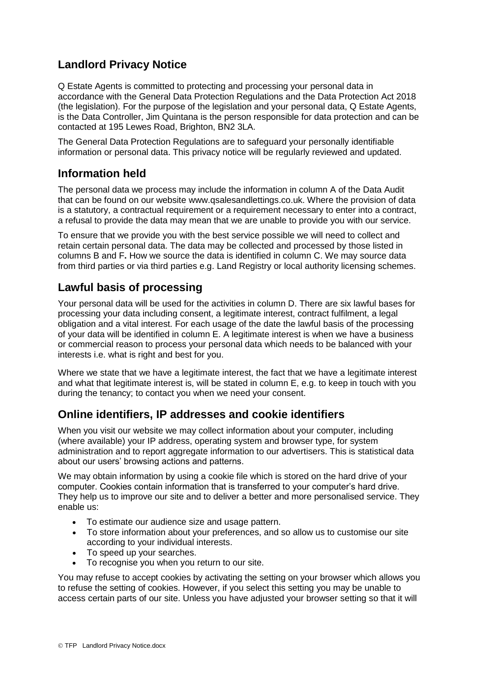# **Landlord Privacy Notice**

Q Estate Agents is committed to protecting and processing your personal data in accordance with the General Data Protection Regulations and the Data Protection Act 2018 (the legislation). For the purpose of the legislation and your personal data, Q Estate Agents, is the Data Controller, Jim Quintana is the person responsible for data protection and can be contacted at 195 Lewes Road, Brighton, BN2 3LA.

The General Data Protection Regulations are to safeguard your personally identifiable information or personal data. This privacy notice will be regularly reviewed and updated.

## **Information held**

The personal data we process may include the information in column A of the Data Audit that can be found on our website www.qsalesandlettings.co.uk. Where the provision of data is a statutory, a contractual requirement or a requirement necessary to enter into a contract, a refusal to provide the data may mean that we are unable to provide you with our service.

To ensure that we provide you with the best service possible we will need to collect and retain certain personal data. The data may be collected and processed by those listed in columns B and F**.** How we source the data is identified in column C. We may source data from third parties or via third parties e.g. Land Registry or local authority licensing schemes.

# **Lawful basis of processing**

Your personal data will be used for the activities in column D. There are six lawful bases for processing your data including consent, a legitimate interest, contract fulfilment, a legal obligation and a vital interest. For each usage of the date the lawful basis of the processing of your data will be identified in column E. A legitimate interest is when we have a business or commercial reason to process your personal data which needs to be balanced with your interests i.e. what is right and best for you.

Where we state that we have a legitimate interest, the fact that we have a legitimate interest and what that legitimate interest is, will be stated in column E, e.g. to keep in touch with you during the tenancy; to contact you when we need your consent.

# **Online identifiers, IP addresses and cookie identifiers**

When you visit our website we may collect information about your computer, including (where available) your IP address, operating system and browser type, for system administration and to report aggregate information to our advertisers. This is statistical data about our users' browsing actions and patterns.

We may obtain information by using a cookie file which is stored on the hard drive of your computer. Cookies contain information that is transferred to your computer's hard drive. They help us to improve our site and to deliver a better and more personalised service. They enable us:

- To estimate our audience size and usage pattern.
- To store information about your preferences, and so allow us to customise our site according to your individual interests.
- To speed up your searches.
- To recognise you when you return to our site.

You may refuse to accept cookies by activating the setting on your browser which allows you to refuse the setting of cookies. However, if you select this setting you may be unable to access certain parts of our site. Unless you have adjusted your browser setting so that it will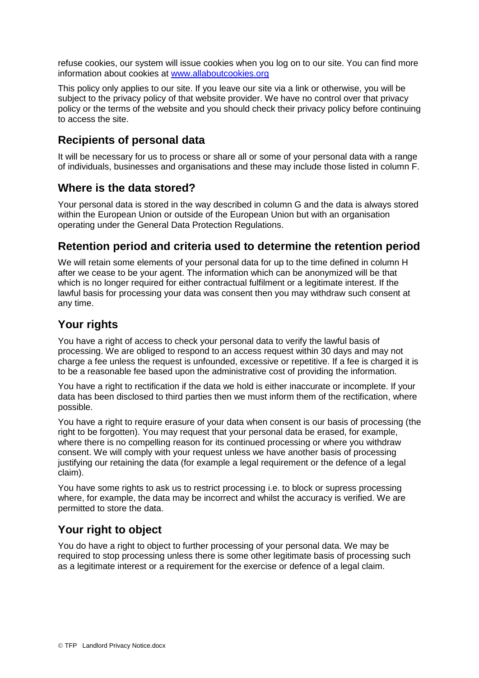refuse cookies, our system will issue cookies when you log on to our site. You can find more information about cookies at [www.allaboutcookies.org](http://www.allaboutcookies.org/)

This policy only applies to our site. If you leave our site via a link or otherwise, you will be subject to the privacy policy of that website provider. We have no control over that privacy policy or the terms of the website and you should check their privacy policy before continuing to access the site.

### **Recipients of personal data**

It will be necessary for us to process or share all or some of your personal data with a range of individuals, businesses and organisations and these may include those listed in column F.

#### **Where is the data stored?**

Your personal data is stored in the way described in column G and the data is always stored within the European Union or outside of the European Union but with an organisation operating under the General Data Protection Regulations.

#### **Retention period and criteria used to determine the retention period**

We will retain some elements of your personal data for up to the time defined in column H after we cease to be your agent. The information which can be anonymized will be that which is no longer required for either contractual fulfilment or a legitimate interest. If the lawful basis for processing your data was consent then you may withdraw such consent at any time.

### **Your rights**

You have a right of access to check your personal data to verify the lawful basis of processing. We are obliged to respond to an access request within 30 days and may not charge a fee unless the request is unfounded, excessive or repetitive. If a fee is charged it is to be a reasonable fee based upon the administrative cost of providing the information.

You have a right to rectification if the data we hold is either inaccurate or incomplete. If your data has been disclosed to third parties then we must inform them of the rectification, where possible.

You have a right to require erasure of your data when consent is our basis of processing (the right to be forgotten). You may request that your personal data be erased, for example, where there is no compelling reason for its continued processing or where you withdraw consent. We will comply with your request unless we have another basis of processing justifying our retaining the data (for example a legal requirement or the defence of a legal claim).

You have some rights to ask us to restrict processing i.e. to block or supress processing where, for example, the data may be incorrect and whilst the accuracy is verified. We are permitted to store the data.

# **Your right to object**

You do have a right to object to further processing of your personal data. We may be required to stop processing unless there is some other legitimate basis of processing such as a legitimate interest or a requirement for the exercise or defence of a legal claim.